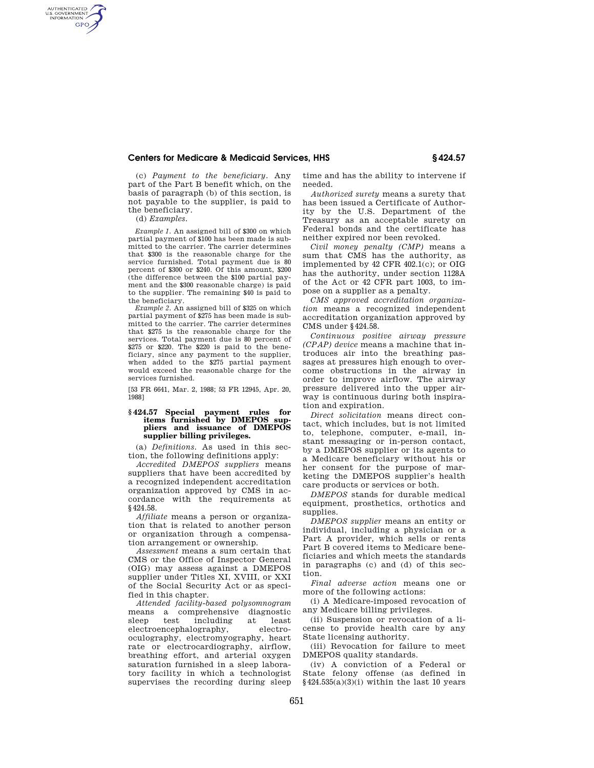### **Centers for Medicare & Medicaid Services, HHS § 424.57**

(c) *Payment to the beneficiary.* Any part of the Part B benefit which, on the basis of paragraph (b) of this section, is not payable to the supplier, is paid to the beneficiary.

(d) *Examples.* 

AUTHENTICATED<br>U.S. GOVERNMENT<br>INFORMATION **GPO** 

> *Example 1.* An assigned bill of \$300 on which partial payment of \$100 has been made is submitted to the carrier. The carrier determines that \$300 is the reasonable charge for the service furnished. Total payment due is 80 percent of \$300 or \$240. Of this amount, \$200 (the difference between the \$100 partial payment and the \$300 reasonable charge) is paid to the supplier. The remaining \$40 is paid to the beneficiary.

> *Example 2.* An assigned bill of \$325 on which partial payment of \$275 has been made is submitted to the carrier. The carrier determines that \$275 is the reasonable charge for the services. Total payment due is 80 percent of \$275 or \$220. The \$220 is paid to the beneficiary, since any payment to the supplier, when added to the \$275 partial payment would exceed the reasonable charge for the services furnished.

[53 FR 6641, Mar. 2, 1988; 53 FR 12945, Apr. 20, 1988]

### **§ 424.57 Special payment rules for items furnished by DMEPOS suppliers and issuance of DMEPOS supplier billing privileges.**

(a) *Definitions.* As used in this section, the following definitions apply:

*Accredited DMEPOS suppliers* means suppliers that have been accredited by a recognized independent accreditation organization approved by CMS in accordance with the requirements at §424.58.

*Affiliate* means a person or organization that is related to another person or organization through a compensation arrangement or ownership.

*Assessment* means a sum certain that CMS or the Office of Inspector General (OIG) may assess against a DMEPOS supplier under Titles XI, XVIII, or XXI of the Social Security Act or as specified in this chapter.

*Attended facility-based polysomnogram*  means a comprehensive diagnostic sleep test including at least electroencephalography, electrooculography, electromyography, heart rate or electrocardiography, airflow, breathing effort, and arterial oxygen saturation furnished in a sleep laboratory facility in which a technologist supervises the recording during sleep

time and has the ability to intervene if needed.

*Authorized surety* means a surety that has been issued a Certificate of Authority by the U.S. Department of the Treasury as an acceptable surety on Federal bonds and the certificate has neither expired nor been revoked.

*Civil money penalty (CMP)* means a sum that CMS has the authority, as implemented by 42 CFR 402.1(c); or OIG has the authority, under section 1128A of the Act or 42 CFR part 1003, to impose on a supplier as a penalty.

*CMS approved accreditation organization* means a recognized independent accreditation organization approved by CMS under §424.58.

*Continuous positive airway pressure (CPAP) device* means a machine that introduces air into the breathing passages at pressures high enough to overcome obstructions in the airway in order to improve airflow. The airway pressure delivered into the upper airway is continuous during both inspiration and expiration.

*Direct solicitation* means direct contact, which includes, but is not limited to, telephone, computer, e-mail, instant messaging or in-person contact, by a DMEPOS supplier or its agents to a Medicare beneficiary without his or her consent for the purpose of marketing the DMEPOS supplier's health care products or services or both.

*DMEPOS* stands for durable medical equipment, prosthetics, orthotics and supplies.

*DMEPOS supplier* means an entity or individual, including a physician or a Part A provider, which sells or rents Part B covered items to Medicare beneficiaries and which meets the standards in paragraphs (c) and (d) of this section.

*Final adverse action* means one or more of the following actions:

(i) A Medicare-imposed revocation of any Medicare billing privileges.

(ii) Suspension or revocation of a license to provide health care by any State licensing authority.

(iii) Revocation for failure to meet DMEPOS quality standards.

(iv) A conviction of a Federal or State felony offense (as defined in  $§424.535(a)(3)(i)$  within the last 10 years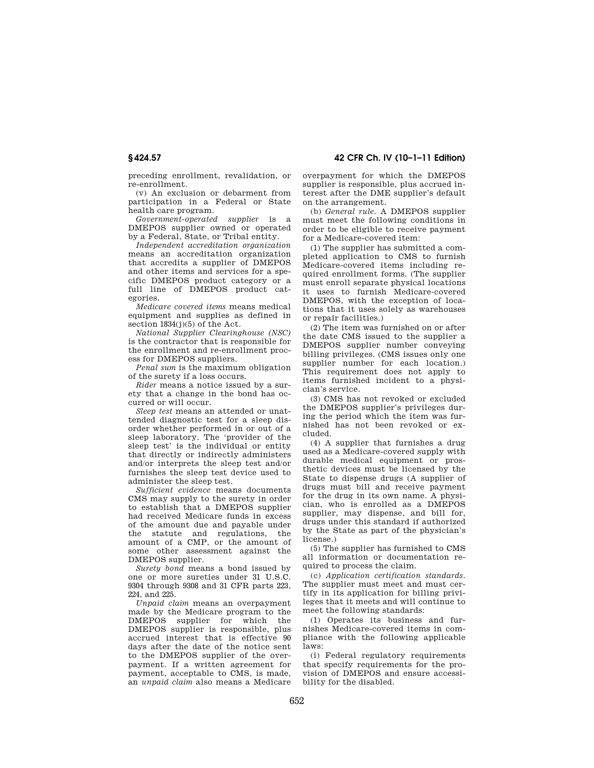**§ 424.57 42 CFR Ch. IV (10–1–11 Edition)** 

preceding enrollment, revalidation, or re-enrollment.

(v) An exclusion or debarment from participation in a Federal or State health care program.

*Government-operated supplier* is a DMEPOS supplier owned or operated by a Federal, State, or Tribal entity.

*Independent accreditation organization*  means an accreditation organization that accredits a supplier of DMEPOS and other items and services for a specific DMEPOS product category or a full line of DMEPOS product categories.

*Medicare covered items* means medical equipment and supplies as defined in section  $1834(j)(5)$  of the Act.

*National Supplier Clearinghouse (NSC)*  is the contractor that is responsible for the enrollment and re-enrollment process for DMEPOS suppliers.

*Penal sum* is the maximum obligation of the surety if a loss occurs.

*Rider* means a notice issued by a surety that a change in the bond has occurred or will occur.

*Sleep test* means an attended or unattended diagnostic test for a sleep disorder whether performed in or out of a sleep laboratory. The 'provider of the sleep test' is the individual or entity that directly or indirectly administers and/or interprets the sleep test and/or furnishes the sleep test device used to administer the sleep test.

*Sufficient evidence* means documents CMS may supply to the surety in order to establish that a DMEPOS supplier had received Medicare funds in excess of the amount due and payable under the statute and regulations, the amount of a CMP, or the amount of some other assessment against the DMEPOS supplier.

*Surety bond* means a bond issued by one or more sureties under 31 U.S.C. 9304 through 9308 and 31 CFR parts 223, 224, and 225.

*Unpaid claim* means an overpayment made by the Medicare program to the DMEPOS supplier for which the DMEPOS supplier is responsible, plus accrued interest that is effective 90 days after the date of the notice sent to the DMEPOS supplier of the overpayment. If a written agreement for payment, acceptable to CMS, is made, an *unpaid claim* also means a Medicare

overpayment for which the DMEPOS supplier is responsible, plus accrued interest after the DME supplier's default on the arrangement.

(b) *General rule.* A DMEPOS supplier must meet the following conditions in order to be eligible to receive payment for a Medicare-covered item:

(1) The supplier has submitted a completed application to CMS to furnish Medicare-covered items including required enrollment forms. (The supplier must enroll separate physical locations it uses to furnish Medicare-covered DMEPOS, with the exception of locations that it uses solely as warehouses or repair facilities.)

(2) The item was furnished on or after the date CMS issued to the supplier a DMEPOS supplier number conveying billing privileges. (CMS issues only one supplier number for each location.) This requirement does not apply to items furnished incident to a physician's service.

(3) CMS has not revoked or excluded the DMEPOS supplier's privileges during the period which the item was furnished has not been revoked or excluded.

(4) A supplier that furnishes a drug used as a Medicare-covered supply with durable medical equipment or prosthetic devices must be licensed by the State to dispense drugs (A supplier of drugs must bill and receive payment for the drug in its own name. A physician, who is enrolled as a DMEPOS supplier, may dispense, and bill for, drugs under this standard if authorized by the State as part of the physician's license.)

(5) The supplier has furnished to CMS all information or documentation required to process the claim.

(c) *Application certification standards.*  The supplier must meet and must certify in its application for billing privileges that it meets and will continue to meet the following standards:

(1) Operates its business and furnishes Medicare-covered items in compliance with the following applicable laws:

(i) Federal regulatory requirements that specify requirements for the provision of DMEPOS and ensure accessibility for the disabled.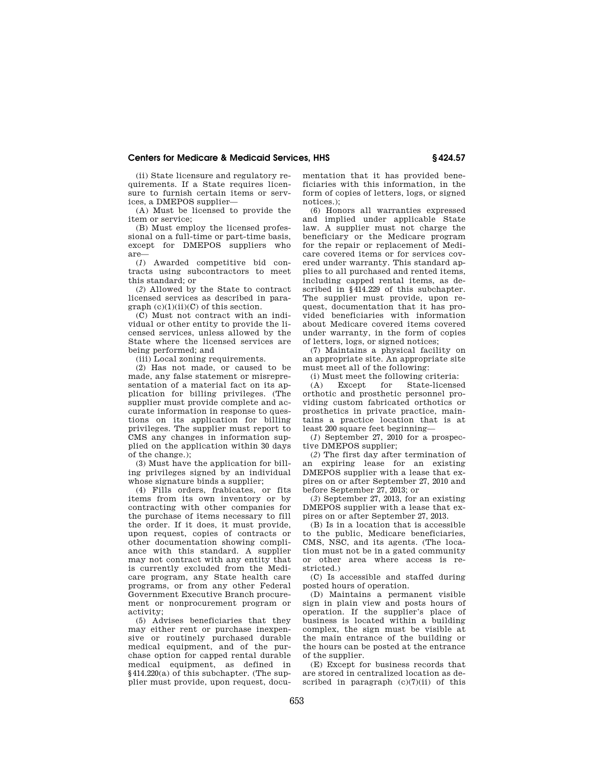## **Centers for Medicare & Medicaid Services, HHS § 424.57**

(ii) State licensure and regulatory requirements. If a State requires licensure to furnish certain items or services, a DMEPOS supplier—

(A) Must be licensed to provide the item or service;

(B) Must employ the licensed professional on a full-time or part-time basis, except for DMEPOS suppliers who are—

(*1*) Awarded competitive bid contracts using subcontractors to meet this standard; or

(*2*) Allowed by the State to contract licensed services as described in para $graph (c)(1)(ii)(C)$  of this section.

(C) Must not contract with an individual or other entity to provide the licensed services, unless allowed by the State where the licensed services are being performed; and

(iii) Local zoning requirements.

(2) Has not made, or caused to be made, any false statement or misrepresentation of a material fact on its application for billing privileges. (The supplier must provide complete and accurate information in response to questions on its application for billing privileges. The supplier must report to CMS any changes in information supplied on the application within 30 days of the change.);

(3) Must have the application for billing privileges signed by an individual whose signature binds a supplier;

(4) Fills orders, frabicates, or fits items from its own inventory or by contracting with other companies for the purchase of items necessary to fill the order. If it does, it must provide, upon request, copies of contracts or other documentation showing compliance with this standard. A supplier may not contract with any entity that is currently excluded from the Medicare program, any State health care programs, or from any other Federal Government Executive Branch procurement or nonprocurement program or activity;

(5) Advises beneficiaries that they may either rent or purchase inexpensive or routinely purchased durable medical equipment, and of the purchase option for capped rental durable medical equipment, as defined in §414.220(a) of this subchapter. (The supplier must provide, upon request, documentation that it has provided beneficiaries with this information, in the form of copies of letters, logs, or signed notices.);

(6) Honors all warranties expressed and implied under applicable State law. A supplier must not charge the beneficiary or the Medicare program for the repair or replacement of Medicare covered items or for services covered under warranty. This standard applies to all purchased and rented items, including canned rental items, as described in §414.229 of this subchapter. The supplier must provide, upon request, documentation that it has provided beneficiaries with information about Medicare covered items covered under warranty, in the form of copies of letters, logs, or signed notices;

(7) Maintains a physical facility on an appropriate site. An appropriate site must meet all of the following:

(i) Must meet the following criteria:<br>(A) Except for State-license

(A) Except for State-licensed orthotic and prosthetic personnel providing custom fabricated orthotics or prosthetics in private practice, maintains a practice location that is at least 200 square feet beginning—

(*1*) September 27, 2010 for a prospective DMEPOS supplier;

(*2*) The first day after termination of an expiring lease for an existing DMEPOS supplier with a lease that expires on or after September 27, 2010 and before September 27, 2013; or

(*3*) September 27, 2013, for an existing DMEPOS supplier with a lease that expires on or after September 27, 2013.

(B) Is in a location that is accessible to the public, Medicare beneficiaries, CMS, NSC, and its agents. (The location must not be in a gated community or other area where access is restricted.)

(C) Is accessible and staffed during posted hours of operation.

(D) Maintains a permanent visible sign in plain view and posts hours of operation. If the supplier's place of business is located within a building complex, the sign must be visible at the main entrance of the building or the hours can be posted at the entrance of the supplier.

(E) Except for business records that are stored in centralized location as described in paragraph  $(c)(7)(ii)$  of this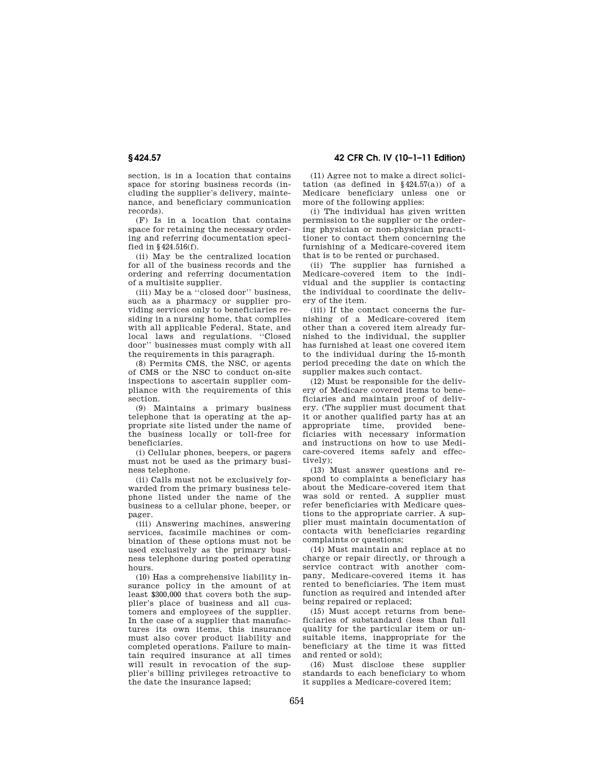section, is in a location that contains space for storing business records (including the supplier's delivery, maintenance, and beneficiary communication records).

(F) Is in a location that contains space for retaining the necessary ordering and referring documentation specified in §424.516(f).

(ii) May be the centralized location for all of the business records and the ordering and referring documentation of a multisite supplier.

(iii) May be a ''closed door'' business, such as a pharmacy or supplier providing services only to beneficiaries residing in a nursing home, that complies with all applicable Federal, State, and local laws and regulations. ''Closed door'' businesses must comply with all the requirements in this paragraph.

(8) Permits CMS, the NSC, or agents of CMS or the NSC to conduct on-site inspections to ascertain supplier compliance with the requirements of this section.

(9) Maintains a primary business telephone that is operating at the appropriate site listed under the name of the business locally or toll-free for beneficiaries.

(i) Cellular phones, beepers, or pagers must not be used as the primary business telephone.

(ii) Calls must not be exclusively forwarded from the primary business telephone listed under the name of the business to a cellular phone, beeper, or pager.

(iii) Answering machines, answering services, facsimile machines or combination of these options must not be used exclusively as the primary business telephone during posted operating hours.

(10) Has a comprehensive liability insurance policy in the amount of at least \$300,000 that covers both the supplier's place of business and all customers and employees of the supplier. In the case of a supplier that manufactures its own items, this insurance must also cover product liability and completed operations. Failure to maintain required insurance at all times will result in revocation of the supplier's billing privileges retroactive to the date the insurance lapsed;

**§ 424.57 42 CFR Ch. IV (10–1–11 Edition)** 

(11) Agree not to make a direct solicitation (as defined in  $§424.57(a)$ ) of a Medicare beneficiary unless one or more of the following applies:

(i) The individual has given written permission to the supplier or the ordering physician or non-physician practitioner to contact them concerning the furnishing of a Medicare-covered item that is to be rented or purchased.

(ii) The supplier has furnished a Medicare-covered item to the individual and the supplier is contacting the individual to coordinate the delivery of the item.

(iii) If the contact concerns the furnishing of a Medicare-covered item other than a covered item already furnished to the individual, the supplier has furnished at least one covered item to the individual during the 15-month period preceding the date on which the supplier makes such contact.

(12) Must be responsible for the delivery of Medicare covered items to beneficiaries and maintain proof of delivery. (The supplier must document that it or another qualified party has at an appropriate time, provided beneficiaries with necessary information and instructions on how to use Medicare-covered items safely and effectively);

(13) Must answer questions and respond to complaints a beneficiary has about the Medicare-covered item that was sold or rented. A supplier must refer beneficiaries with Medicare questions to the appropriate carrier. A supplier must maintain documentation of contacts with beneficiaries regarding complaints or questions;

(14) Must maintain and replace at no charge or repair directly, or through a service contract with another company, Medicare-covered items it has rented to beneficiaries. The item must function as required and intended after being repaired or replaced;

(15) Must accept returns from beneficiaries of substandard (less than full quality for the particular item or unsuitable items, inappropriate for the beneficiary at the time it was fitted and rented or sold);

(16) Must disclose these supplier standards to each beneficiary to whom it supplies a Medicare-covered item;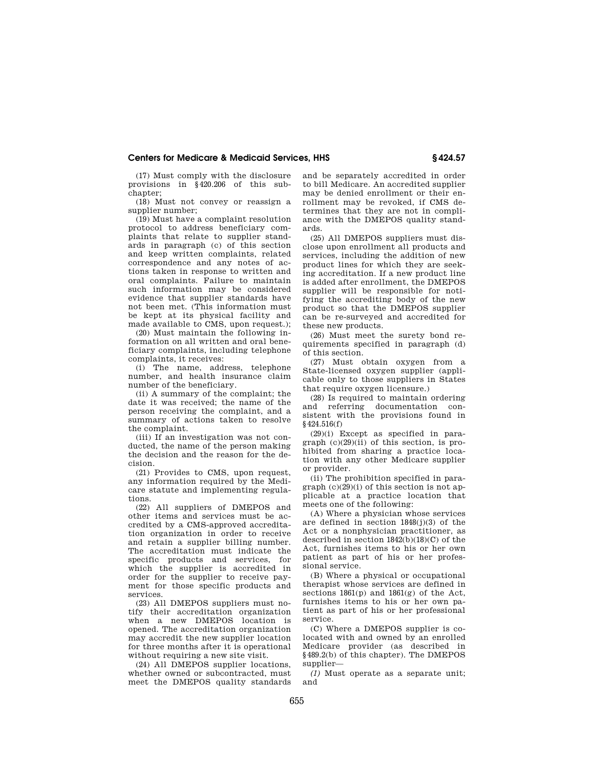# **Centers for Medicare & Medicaid Services, HHS § 424.57**

(17) Must comply with the disclosure provisions in §420.206 of this subchapter;

(18) Must not convey or reassign a supplier number;

(19) Must have a complaint resolution protocol to address beneficiary complaints that relate to supplier standards in paragraph (c) of this section and keep written complaints, related correspondence and any notes of actions taken in response to written and oral complaints. Failure to maintain such information may be considered evidence that supplier standards have not been met. (This information must be kept at its physical facility and made available to CMS, upon request.);

(20) Must maintain the following information on all written and oral beneficiary complaints, including telephone complaints, it receives:

(i) The name, address, telephone number, and health insurance claim number of the beneficiary.

(ii) A summary of the complaint; the date it was received; the name of the person receiving the complaint, and a summary of actions taken to resolve the complaint.

(iii) If an investigation was not conducted, the name of the person making the decision and the reason for the decision.

(21) Provides to CMS, upon request, any information required by the Medicare statute and implementing regulations.

(22) All suppliers of DMEPOS and other items and services must be accredited by a CMS-approved accreditation organization in order to receive and retain a supplier billing number. The accreditation must indicate the specific products and services, for which the supplier is accredited in order for the supplier to receive payment for those specific products and services.

(23) All DMEPOS suppliers must notify their accreditation organization when a new DMEPOS location is opened. The accreditation organization may accredit the new supplier location for three months after it is operational without requiring a new site visit.

(24) All DMEPOS supplier locations, whether owned or subcontracted, must meet the DMEPOS quality standards and be separately accredited in order to bill Medicare. An accredited supplier may be denied enrollment or their enrollment may be revoked, if CMS determines that they are not in compliance with the DMEPOS quality standards.

(25) All DMEPOS suppliers must disclose upon enrollment all products and services, including the addition of new product lines for which they are seeking accreditation. If a new product line is added after enrollment, the DMEPOS supplier will be responsible for notifying the accrediting body of the new product so that the DMEPOS supplier can be re-surveyed and accredited for these new products.

(26) Must meet the surety bond requirements specified in paragraph (d) of this section.

(27) Must obtain oxygen from a State-licensed oxygen supplier (applicable only to those suppliers in States that require oxygen licensure.)

(28) Is required to maintain ordering and referring documentation consistent with the provisions found in §424.516(f)

(29)(i) Except as specified in paragraph (c)(29)(ii) of this section, is prohibited from sharing a practice location with any other Medicare supplier or provider.

(ii) The prohibition specified in paragraph  $(c)(29)(i)$  of this section is not applicable at a practice location that meets one of the following:

(A) Where a physician whose services are defined in section 1848(j)(3) of the Act or a nonphysician practitioner, as described in section 1842(b)(18)(C) of the Act, furnishes items to his or her own patient as part of his or her professional service.

(B) Where a physical or occupational therapist whose services are defined in sections 1861(p) and 1861(g) of the Act, furnishes items to his or her own patient as part of his or her professional service.

(C) Where a DMEPOS supplier is colocated with and owned by an enrolled Medicare provider (as described in §489.2(b) of this chapter). The DMEPOS supplier—

*(1)* Must operate as a separate unit; and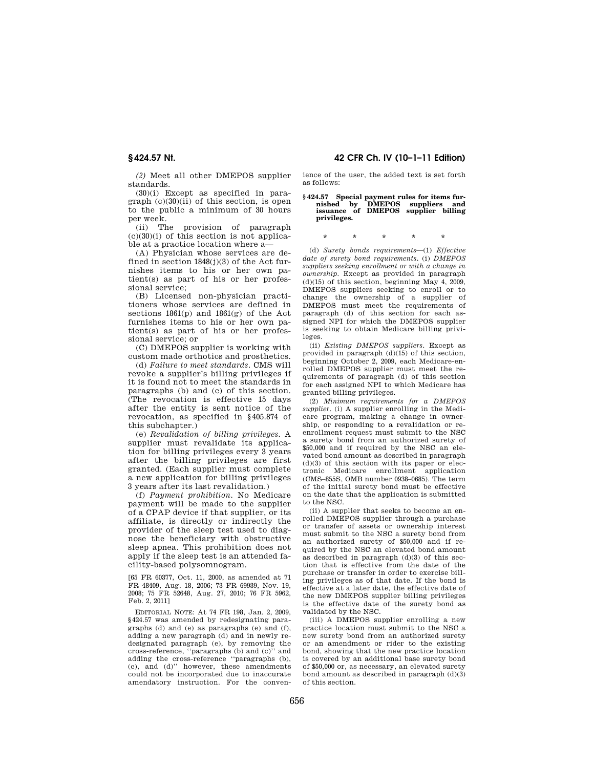*(2)* Meet all other DMEPOS supplier standards.

(30)(i) Except as specified in paragraph (c)(30)(ii) of this section, is open to the public a minimum of 30 hours per week.

(ii) The provision of paragraph  $(c)(30)(i)$  of this section is not applicable at a practice location where a—

(A) Physician whose services are defined in section 1848(j)(3) of the Act furnishes items to his or her own patient(s) as part of his or her professional service;

(B) Licensed non-physician practitioners whose services are defined in sections 1861(p) and 1861(g) of the Act furnishes items to his or her own patient(s) as part of his or her professional service; or

(C) DMEPOS supplier is working with custom made orthotics and prosthetics.

(d) *Failure to meet standards.* CMS will revoke a supplier's billing privileges if it is found not to meet the standards in paragraphs (b) and (c) of this section. (The revocation is effective 15 days after the entity is sent notice of the revocation, as specified in §405.874 of this subchapter.)

(e) *Revalidation of billing privileges.* A supplier must revalidate its application for billing privileges every 3 years after the billing privileges are first granted. (Each supplier must complete a new application for billing privileges 3 years after its last revalidation.)

(f) *Payment prohibition.* No Medicare payment will be made to the supplier of a CPAP device if that supplier, or its affiliate, is directly or indirectly the provider of the sleep test used to diagnose the beneficiary with obstructive sleep apnea. This prohibition does not apply if the sleep test is an attended facility-based polysomnogram.

[65 FR 60377, Oct. 11, 2000, as amended at 71 FR 48409, Aug. 18, 2006; 73 FR 69939, Nov. 19, 2008; 75 FR 52648, Aug. 27, 2010; 76 FR 5962, Feb. 2, 2011]

EDITORIAL NOTE: At 74 FR 198, Jan. 2, 2009, §424.57 was amended by redesignating paragraphs (d) and (e) as paragraphs (e) and (f), adding a new paragraph (d) and in newly redesignated paragraph (e), by removing the cross-reference, ''paragraphs (b) and (c)'' and adding the cross-reference "paragraphs (b), (c), and (d)'' however, these amendments could not be incorporated due to inaccurate amendatory instruction. For the conven-

### **§ 424.57 Nt. 42 CFR Ch. IV (10–1–11 Edition)**

ience of the user, the added text is set forth as follows:

# **§ 424.57 Special payment rules for items fur-nished by DMEPOS suppliers and issuance of DMEPOS supplier billing privileges.**

## \* \* \* \* \*

(d) *Surety bonds requirements*—(1) *Effective date of surety bond requirements*. (i) *DMEPOS suppliers seeking enrollment or with a change in ownership*. Except as provided in paragraph  $(d)(15)$  of this section, beginning May 4, 2009, DMEPOS suppliers seeking to enroll or to change the ownership of a supplier of DMEPOS must meet the requirements of paragraph (d) of this section for each assigned NPI for which the DMEPOS supplier is seeking to obtain Medicare billing privileges.

(ii) *Existing DMEPOS suppliers*. Except as provided in paragraph  $(d)(15)$  of this section, beginning October 2, 2009, each Medicare-enrolled DMEPOS supplier must meet the requirements of paragraph (d) of this section for each assigned NPI to which Medicare has granted billing privileges.

(2) *Minimum requirements for a DMEPOS supplier*. (i) A supplier enrolling in the Medicare program, making a change in ownership, or responding to a revalidation or reenrollment request must submit to the NSC a surety bond from an authorized surety of \$50,000 and if required by the NSC an elevated bond amount as described in paragraph (d)(3) of this section with its paper or elec-Medicare enrollment application (CMS–855S, OMB number 0938–0685). The term of the initial surety bond must be effective on the date that the application is submitted to the NSC.

(ii) A supplier that seeks to become an enrolled DMEPOS supplier through a purchase or transfer of assets or ownership interest must submit to the NSC a surety bond from an authorized surety of \$50,000 and if required by the NSC an elevated bond amount as described in paragraph (d)(3) of this section that is effective from the date of the purchase or transfer in order to exercise billing privileges as of that date. If the bond is effective at a later date, the effective date of the new DMEPOS supplier billing privileges is the effective date of the surety bond as validated by the NSC.

(iii) A DMEPOS supplier enrolling a new practice location must submit to the NSC a new surety bond from an authorized surety or an amendment or rider to the existing bond, showing that the new practice location is covered by an additional base surety bond of \$50,000 or, as necessary, an elevated surety bond amount as described in paragraph (d)(3) of this section.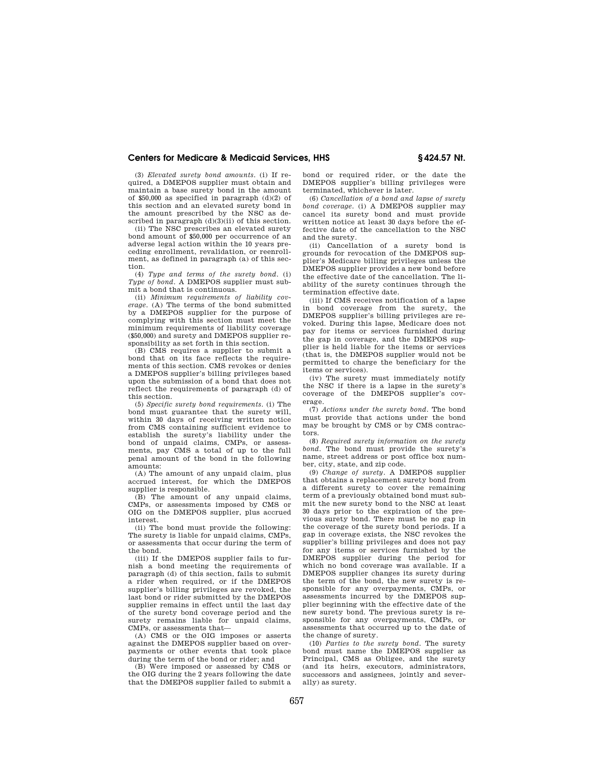### **Centers for Medicare & Medicaid Services, HHS § 424.57 Nt.**

(3) *Elevated surety bond amounts*. (i) If required, a DMEPOS supplier must obtain and maintain a base surety bond in the amount of  $$50,000$  as specified in paragraph  $(d)(2)$  of this section and an elevated surety bond in the amount prescribed by the NSC as described in paragraph  $(d)(3)(ii)$  of this section.

(ii) The NSC prescribes an elevated surety bond amount of \$50,000 per occurrence of an adverse legal action within the 10 years preceding enrollment, revalidation, or reenrollment, as defined in paragraph (a) of this section.

(4) *Type and terms of the surety bond*. (i) *Type of bond*. A DMEPOS supplier must submit a bond that is continuous.

(ii) *Minimum requirements of liability coverage*. (A) The terms of the bond submitted by a DMEPOS supplier for the purpose of complying with this section must meet the minimum requirements of liability coverage (\$50,000) and surety and DMEPOS supplier responsibility as set forth in this section.

(B) CMS requires a supplier to submit a bond that on its face reflects the requirements of this section. CMS revokes or denies a DMEPOS supplier's billing privileges based upon the submission of a bond that does not reflect the requirements of paragraph (d) of this section.

(5) *Specific surety bond requirements*. (i) The bond must guarantee that the surety will, within 30 days of receiving written notice from CMS containing sufficient evidence to establish the surety's liability under the bond of unpaid claims, CMPs, or assessments, pay CMS a total of up to the full penal amount of the bond in the following amounts:

(A) The amount of any unpaid claim, plus accrued interest, for which the DMEPOS supplier is responsible.

(B) The amount of any unpaid claims, CMPs, or assessments imposed by CMS or OIG on the DMEPOS supplier, plus accrued interest.

(ii) The bond must provide the following: The surety is liable for unpaid claims, CMPs, or assessments that occur during the term of the bond.

(iii) If the DMEPOS supplier fails to furnish a bond meeting the requirements of paragraph (d) of this section, fails to submit a rider when required, or if the DMEPOS supplier's billing privileges are revoked, the last bond or rider submitted by the DMEPOS supplier remains in effect until the last day of the surety bond coverage period and the surety remains liable for unpaid claims, CMPs, or assessments that—

(A) CMS or the OIG imposes or asserts against the DMEPOS supplier based on overpayments or other events that took place during the term of the bond or rider; and

(B) Were imposed or assessed by CMS or the OIG during the 2 years following the date that the DMEPOS supplier failed to submit a

bond or required rider, or the date the DMEPOS supplier's billing privileges were terminated, whichever is later.

(6) *Cancellation of a bond and lapse of surety bond coverage*. (i) A DMEPOS supplier may cancel its surety bond and must provide written notice at least 30 days before the effective date of the cancellation to the NSC and the surety.

(ii) Cancellation of a surety bond is grounds for revocation of the DMEPOS supplier's Medicare billing privileges unless the DMEPOS supplier provides a new bond before the effective date of the cancellation. The liability of the surety continues through the termination effective date.

(iii) If CMS receives notification of a lapse in bond coverage from the surety, the DMEPOS supplier's billing privileges are revoked. During this lapse, Medicare does not pay for items or services furnished during the gap in coverage, and the DMEPOS supplier is held liable for the items or services (that is, the DMEPOS supplier would not be permitted to charge the beneficiary for the items or services).

(iv) The surety must immediately notify the NSC if there is a lapse in the surety's coverage of the DMEPOS supplier's coverage.

(7) *Actions under the surety bond*. The bond must provide that actions under the bond may be brought by CMS or by CMS contractors.

(8) *Required surety information on the surety bond*. The bond must provide the surety's name, street address or post office box number, city, state, and zip code.

(9) *Change of surety*. A DMEPOS supplier that obtains a replacement surety bond from a different surety to cover the remaining term of a previously obtained bond must submit the new surety bond to the NSC at least 30 days prior to the expiration of the previous surety bond. There must be no gap in the coverage of the surety bond periods. If a gap in coverage exists, the NSC revokes the supplier's billing privileges and does not pay for any items or services furnished by the DMEPOS supplier during the period for which no bond coverage was available. If a DMEPOS supplier changes its surety during the term of the bond, the new surety is responsible for any overpayments, CMPs, or assessments incurred by the DMEPOS supplier beginning with the effective date of the new surety bond. The previous surety is responsible for any overpayments, CMPs, or assessments that occurred up to the date of the change of surety.

(10) *Parties to the surety bond*. The surety bond must name the DMEPOS supplier as Principal, CMS as Obligee, and the surety (and its heirs, executors, administrators, successors and assignees, jointly and severally) as surety.